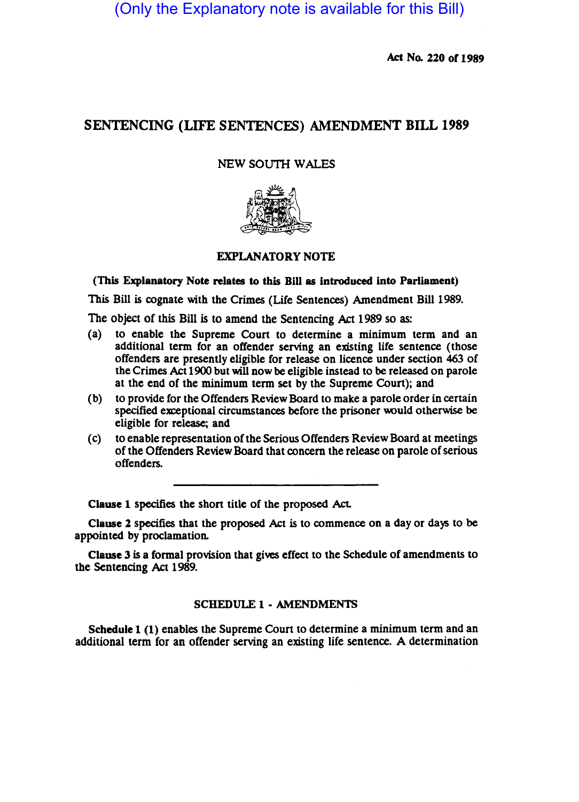(Only the Explanatory note is available for this Bill)

Act No. 220 of 1989

## SENTENCING (LIFE SENTENCES) AMENDMENT BILL 1989

## NEW SOUTH WALES



## EXPLANATORY NOTE

(This Explanatory Note relates to this Bill as introduced into Parliament)

This Bill is cognate with the Crimes (Life Sentences) Amendment Bill 1989.

The object of this Bill is to amend the Sentencing Act 1989 so as:

- (a) to enable the Supreme Court to determine a minimum term and an additional term for an offender serving an existing life sentence (those offenders are presently eligible for release on licence under section 463 of the Crimes Act 1900 but will now be eligible instead to be released on parole at the end of the minimum term set by the Supreme Coun); and
- (b) to provide for the Offenders Review Board to make a parole order in certain specified exceptional circumstances before the prisoner would otherwise be eligible for release; and
- (c) to enable representation of the Serious Offenders Review Board at meetings of the Offenders Review Board that concern the release on parole of serious offenders.

Clause 1 specifies the shon title of the proposed Act.

Clause 2 specifies that the proposed Act is to commence on a day or days to be appointed by proclamation.

Clause 3 is a formal provision that gives effect to the Schedule of amendments to the Sentencing Act 1989.

## SCHEDULE 1- AMENDMENTS

Schedule 1 (1) enables the Supreme Court to determine a minimum term and an additional term for an offender serving an existing life sentence. A determination